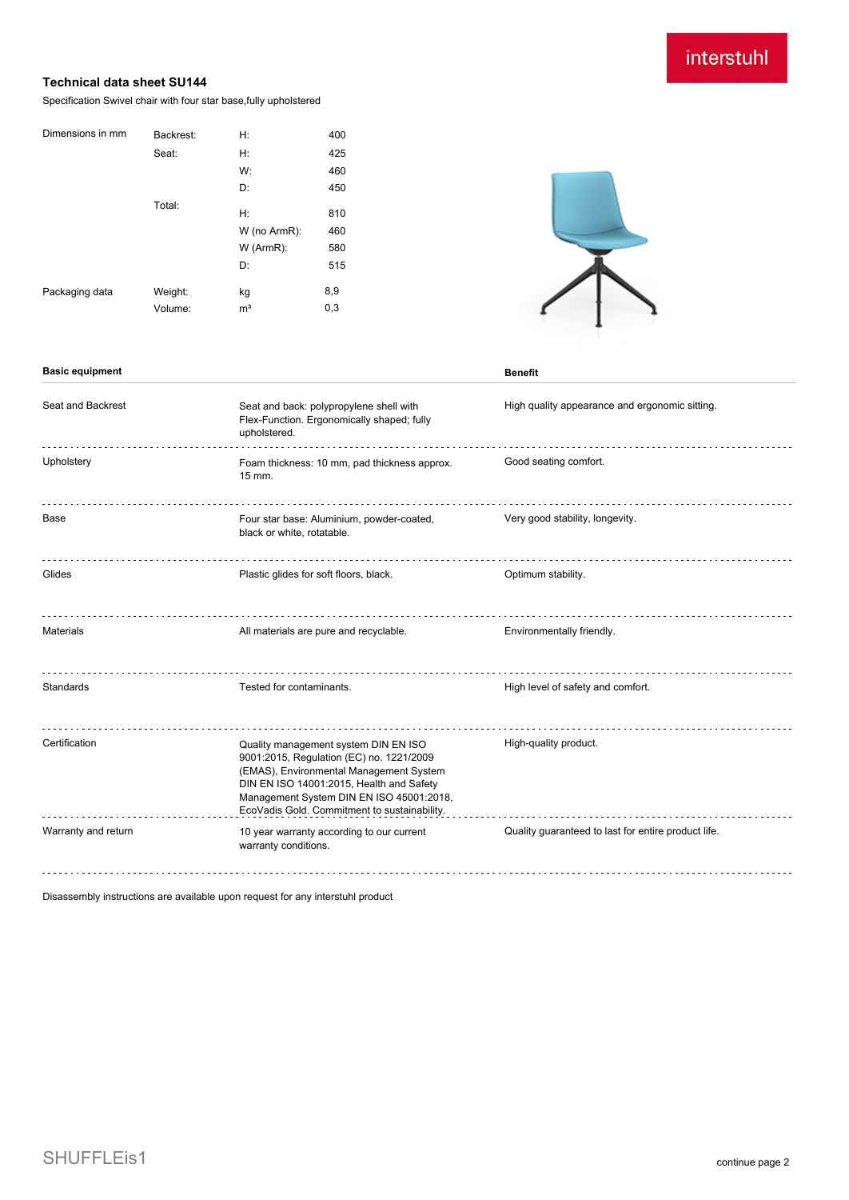## interstuhl

### **Technical data sheet SU144**

Specification Swivel chair with four star base,fully upholstered

| Dimensions in mm | Backrest: | H:             | 400 |
|------------------|-----------|----------------|-----|
|                  | Seat:     | H:             | 425 |
|                  |           | W:             | 460 |
|                  |           | D:             | 450 |
|                  | Total:    | H:             |     |
|                  |           |                | 810 |
|                  |           | W (no ArmR):   | 460 |
|                  |           | $W$ (ArmR):    | 580 |
|                  |           | D:             | 515 |
| Packaging data   | Weight:   | kg             | 8,9 |
|                  | Volume:   | m <sup>3</sup> | 0,3 |



#### **Basic equipment Benefit**

Seat and Backrest Seat and back: polypropylene shell with High quality appearance and ergonomic sitting. Flex-Function. Ergonomically shaped; fully upholstered. Upholstery **Exam thickness: 10 mm, pad thickness approx.** Good seating comfort. 15 mm. Base **Four star base: Aluminium, powder-coated,** Very good stability, longevity. black or white, rotatable. Glides **Plastic glides** For soft floors, black. **Container and School School** Specified Plastic glides of the Plastic glides of the Plastic glides of the Plastic glides for soft floors, black. Materials **All materials are pure and recyclable.** Environmentally friendly. Standards Tested for contaminants. The High level of safety and comfort. Certification Quality management system DIN EN ISO High-quality product. 9001:2015, Regulation (EC) no. 1221/2009 (EMAS), Environmental Management System DIN EN ISO 14001:2015, Health and Safety Management System DIN EN ISO 45001:2018, EcoVadis Gold. Commitment to sustainability. Warranty and return 10 year warranty according to our current Quality guaranteed to last for entire product life. warranty conditions. 

Disassembly instructions are available upon request for any interstuhl product